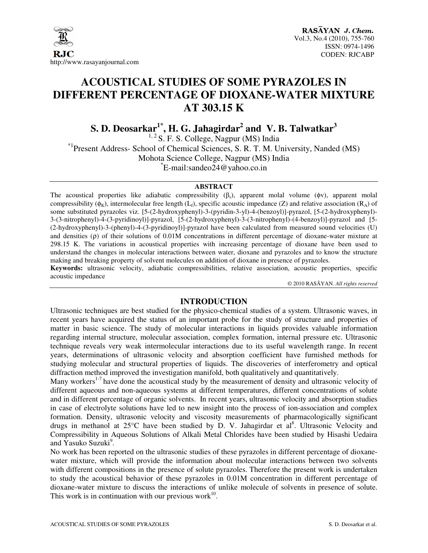

# **ACOUSTICAL STUDIES OF SOME PYRAZOLES IN DIFFERENT PERCENTAGE OF DIOXANE-WATER MIXTURE AT 303.15 K**

**S. D. Deosarkar1\*, H. G. Jahagirdar<sup>2</sup> and V. B. Talwatkar<sup>3</sup>**

<sup>1, 2</sup> S. F. S. College, Nagpur (MS) India \*1Present Address- School of Chemical Sciences, S. R. T. M. University, Nanded (MS) Mohota Science College, Nagpur (MS) India \* E-mail:sandeo24@yahoo.co.in

#### **ABSTRACT**

The acoustical properties like adiabatic compressibility  $(\beta_s)$ , apparent molal volume (φv), apparent molal compressibility ( $\phi_K$ ), intermolecular free length (L<sub>f</sub>), specific acoustic impedance (Z) and relative association (R<sub>A</sub>) of some substituted pyrazoles viz. [5-(2-hydroxyphenyl)-3-(pyridin-3-yl)-4-(benzoyl)]-pyrazol, [5-(2-hydroxyphenyl)- 3-(3-nitrophenyl)-4-(3-pyridinoyl)]-pyrazol, [5-(2-hydroxyphenyl)-3-(3-nitrophenyl)-(4-benzoyl)]-pyrazol and [5- (2-hydroxyphenyl)-3-(phenyl)-4-(3-pyridinoyl)]-pyrazol have been calculated from measured sound velocities (U) and densities (ρ) of their solutions of 0.01M concentrations in different percentage of dioxane-water mixture at 298.15 K. The variations in acoustical properties with increasing percentage of dioxane have been used to understand the changes in molecular interactions between water, dioxane and pyrazoles and to know the structure making and breaking property of solvent molecules on addition of dioxane in presence of pyrazoles.

**Keywords:** ultrasonic velocity, adiabatic compressibilities, relative association, acoustic properties, specific acoustic impedance

© 2010 RASĀYAN. *All rights reserved*

### **INTRODUCTION**

Ultrasonic techniques are best studied for the physico-chemical studies of a system. Ultrasonic waves, in recent years have acquired the status of an important probe for the study of structure and properties of matter in basic science. The study of molecular interactions in liquids provides valuable information regarding internal structure, molecular association, complex formation, internal pressure etc. Ultrasonic technique reveals very weak intermolecular interactions due to its useful wavelength range. In recent years, determinations of ultrasonic velocity and absorption coefficient have furnished methods for studying molecular and structural properties of liquids. The discoveries of interferometry and optical diffraction method improved the investigation manifold, both qualitatively and quantitatively.

Many workers<sup>1-7</sup> have done the acoustical study by the measurement of density and ultrasonic velocity of different aqueous and non-aqueous systems at different temperatures, different concentrations of solute and in different percentage of organic solvents. In recent years, ultrasonic velocity and absorption studies in case of electrolyte solutions have led to new insight into the process of ion-association and complex formation. Density, ultrasonic velocity and viscosity measurements of pharmacologically significant drugs in methanol at 25°C have been studied by D. V. Jahagirdar et al<sup>8</sup>. Ultrasonic Velocity and Compressibility in Aqueous Solutions of Alkali Metal Chlorides have been studied by Hisashi Uedaira and Yasuko Suzuki<sup>9</sup>.

No work has been reported on the ultrasonic studies of these pyrazoles in different percentage of dioxanewater mixture, which will provide the information about molecular interactions between two solvents with different compositions in the presence of solute pyrazoles. Therefore the present work is undertaken to study the acoustical behavior of these pyrazoles in 0.01M concentration in different percentage of dioxane-water mixture to discuss the interactions of unlike molecule of solvents in presence of solute. This work is in continuation with our previous work $^{10}$ .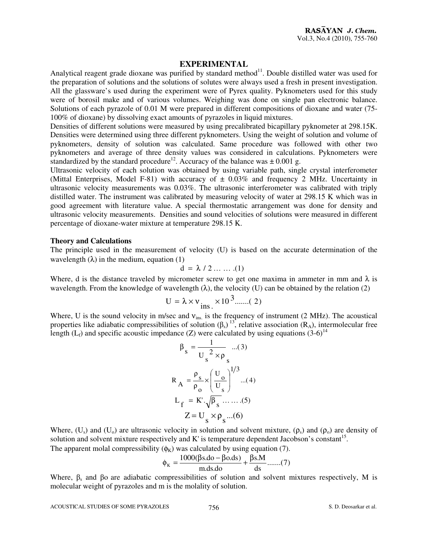#### **EXPERIMENTAL**

Analytical reagent grade dioxane was purified by standard method<sup>11</sup>. Double distilled water was used for the preparation of solutions and the solutions of solutes were always used a fresh in present investigation. All the glassware's used during the experiment were of Pyrex quality. Pyknometers used for this study were of borosil make and of various volumes. Weighing was done on single pan electronic balance. Solutions of each pyrazole of 0.01 M were prepared in different compositions of dioxane and water (75- 100% of dioxane) by dissolving exact amounts of pyrazoles in liquid mixtures.

Densities of different solutions were measured by using precalibrated bicapillary pyknometer at 298.15K. Densities were determined using three different pyknometers. Using the weight of solution and volume of pyknometers, density of solution was calculated. Same procedure was followed with other two pyknometers and average of three density values was considered in calculations. Pyknometers were standardized by the standard procedure<sup>12</sup>. Accuracy of the balance was  $\pm 0.001$  g.

Ultrasonic velocity of each solution was obtained by using variable path, single crystal interferometer (Mittal Enterprises, Model F-81) with accuracy of  $\pm$  0.03% and frequency 2 MHz. Uncertainty in ultrasonic velocity measurements was 0.03%. The ultrasonic interferometer was calibrated with triply distilled water. The instrument was calibrated by measuring velocity of water at 298.15 K which was in good agreement with literature value. A special thermostatic arrangement was done for density and ultrasonic velocity measurements. Densities and sound velocities of solutions were measured in different percentage of dioxane-water mixture at temperature 298.15 K.

#### **Theory and Calculations**

The principle used in the measurement of velocity (U) is based on the accurate determination of the wavelength  $(\lambda)$  in the medium, equation (1)

$$
d = \lambda / 2 \ldots \ldots .(1)
$$

Where, d is the distance traveled by micrometer screw to get one maxima in ammeter in mm and  $\lambda$  is wavelength. From the knowledge of wavelength  $(\lambda)$ , the velocity (U) can be obtained by the relation (2)

$$
U = \lambda \times v_{ins.} \times 10^3 \dots (2)
$$

Where, U is the sound velocity in m/sec and  $v_{ins}$  is the frequency of instrument (2 MHz). The acoustical properties like adiabatic compressibilities of solution  $(\beta_s)^{13}$ , relative association  $(R_A)$ , intermolecular free length ( $L_f$ ) and specific acoustic impedance (Z) were calculated by using equations (3-6)<sup>14</sup>

$$
\beta_{s} = \frac{1}{U_{s}^{2} \times \rho_{s}} \dots(3)
$$
  

$$
R_{A} = \frac{\rho_{s}}{\rho_{o}} \times \left(\frac{U_{o}}{U_{s}}\right)^{1/3} \dots(4)
$$
  

$$
L_{f} = K \cdot \sqrt{\beta_{s}} \dots(5)
$$
  

$$
Z = U_{s} \times \rho_{s} \dots(6)
$$

Where,  $(U_s)$  and  $(U_0)$  are ultrasonic velocity in solution and solvent mixture,  $(\rho_s)$  and  $(\rho_o)$  are density of solution and solvent mixture respectively and  $K'$  is temperature dependent Jacobson's constant<sup>15</sup>. The apparent molal compressibility  $(\phi_K)$  was calculated by using equation (7).

$$
\phi_{K} = \frac{1000(\beta s.do - \beta o.ds)}{m.ds.do} + \frac{\beta s.M}{ds} \dots (7)
$$

Where,  $\beta_s$  and  $\beta_o$  are adiabatic compressibilities of solution and solvent mixtures respectively, M is molecular weight of pyrazoles and m is the molality of solution.

ACOUSTICAL STUDIES OF SOME PYRAZOLES 756 756 S. D. Deosarkar et al.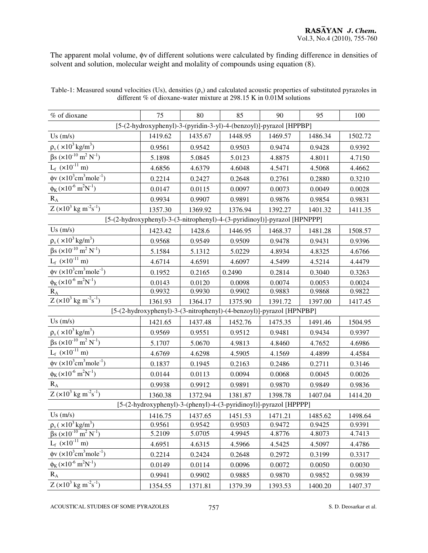The apparent molal volume, φv of different solutions were calculated by finding difference in densities of solvent and solution, molecular weight and molality of compounds using equation (8).

| % of dioxane                                                              | 75      | 80      | 85      | 90      | 95      | 100     |
|---------------------------------------------------------------------------|---------|---------|---------|---------|---------|---------|
| [5-(2-hydroxyphenyl)-3-(pyridin-3-yl)-4-(benzoyl)]-pyrazol [HPPBP]        |         |         |         |         |         |         |
| $Us$ (m/s)                                                                | 1419.62 | 1435.67 | 1448.95 | 1469.57 | 1486.34 | 1502.72 |
| $\rho_s$ ( $\times 10^3$ kg/m <sup>3</sup> )                              | 0.9561  | 0.9542  | 0.9503  | 0.9474  | 0.9428  | 0.9392  |
| $\beta s$ (×10 <sup>-10</sup> m <sup>2</sup> N <sup>-1</sup> )            | 5.1898  | 5.0845  | 5.0123  | 4.8875  | 4.8011  | 4.7150  |
| $L_f$ ( $\times 10^{-11}$ m)                                              | 4.6856  | 4.6379  | 4.6048  | 4.5471  | 4.5068  | 4.4662  |
| $\phi$ v (×10 <sup>3</sup> cm <sup>3</sup> mole <sup>-1</sup> )           | 0.2214  | 0.2427  | 0.2648  | 0.2761  | 0.2880  | 0.3210  |
| $\phi_{K}$ (×10 <sup>-6</sup> m <sup>2</sup> N <sup>-1</sup> )            | 0.0147  | 0.0115  | 0.0097  | 0.0073  | 0.0049  | 0.0028  |
| $R_{A}$                                                                   | 0.9934  | 0.9907  | 0.9891  | 0.9876  | 0.9854  | 0.9831  |
| $Z (x10^3 kg m^{-2}s^{-1})$                                               | 1357.30 | 1369.92 | 1376.94 | 1392.27 | 1401.32 | 1411.35 |
| [5-(2-hydroxyphenyl)-3-(3-nitrophenyl)-4-(3-pyridinoyl)]-pyrazol [HPNPPP] |         |         |         |         |         |         |
| $Us$ (m/s)                                                                | 1423.42 | 1428.6  | 1446.95 | 1468.37 | 1481.28 | 1508.57 |
| $\rho_s$ ( $\times 10^3$ kg/m <sup>3</sup> )                              | 0.9568  | 0.9549  | 0.9509  | 0.9478  | 0.9431  | 0.9396  |
| $\beta s \left(\times 10^{-10} \,\mathrm{m}^2 \,\mathrm{N}^{-1}\right)$   | 5.1584  | 5.1312  | 5.0229  | 4.8934  | 4.8325  | 4.6766  |
| $L_f$ ( $\times 10^{-11}$ m)                                              | 4.6714  | 4.6591  | 4.6097  | 4.5499  | 4.5214  | 4.4479  |
| $\phi$ v (×10 <sup>3</sup> cm <sup>3</sup> mole <sup>-1</sup> )           | 0.1952  | 0.2165  | 0.2490  | 0.2814  | 0.3040  | 0.3263  |
| $\phi_K (x 10^{-6} \text{ m}^2 \overline{N^{-1}})$                        | 0.0143  | 0.0120  | 0.0098  | 0.0074  | 0.0053  | 0.0024  |
| $R_A$                                                                     | 0.9932  | 0.9930  | 0.9902  | 0.9883  | 0.9868  | 0.9822  |
| Z $(x10^3 \text{ kg m}^2\text{s}^{-1})$                                   | 1361.93 | 1364.17 | 1375.90 | 1391.72 | 1397.00 | 1417.45 |
| [5-(2-hydroxyphenyl)-3-(3-nitrophenyl)-(4-benzoyl)]-pyrazol [HPNPBP]      |         |         |         |         |         |         |
| $Us$ (m/s)                                                                | 1421.65 | 1437.48 | 1452.76 | 1475.35 | 1491.46 | 1504.95 |
| $\rho_{\rm s}$ ( $\times 10^3\, {\rm kg/m^3})$                            | 0.9569  | 0.9551  | 0.9512  | 0.9481  | 0.9434  | 0.9397  |
| $\beta s$ (×10 <sup>-10</sup> m <sup>2</sup> N <sup>-1</sup> )            | 5.1707  | 5.0670  | 4.9813  | 4.8460  | 4.7652  | 4.6986  |
| $L_f$ ( $\times 10^{-11}$ m)                                              | 4.6769  | 4.6298  | 4.5905  | 4.1569  | 4.4899  | 4.4584  |
| $\phi$ v (×10 <sup>3</sup> cm <sup>3</sup> mole <sup>-1</sup> )           | 0.1837  | 0.1945  | 0.2163  | 0.2486  | 0.2711  | 0.3146  |
| $\phi_{K}$ (×10 <sup>-6</sup> m <sup>2</sup> N <sup>-1</sup> )            | 0.0144  | 0.0113  | 0.0094  | 0.0068  | 0.0045  | 0.0026  |
| $R_{A}$                                                                   | 0.9938  | 0.9912  | 0.9891  | 0.9870  | 0.9849  | 0.9836  |
| $Z (x10^{3} kg m^{-2} s^{-1})$                                            | 1360.38 | 1372.94 | 1381.87 | 1398.78 | 1407.04 | 1414.20 |
| [5-(2-hydroxyphenyl)-3-(phenyl)-4-(3-pyridinoyl)]-pyrazol [HPPPP]         |         |         |         |         |         |         |
| Us(m/s)                                                                   | 1416.75 | 1437.65 | 1451.53 | 1471.21 | 1485.62 | 1498.64 |
| $\rho_s$ ( $\times 10^3$ kg/m <sup>3</sup> )                              | 0.9561  | 0.9542  | 0.9503  | 0.9472  | 0.9425  | 0.9391  |
| $\beta s$ ( $\times 10^{-10}$ m <sup>2</sup> N <sup>-1</sup> )            | 5.2109  | 5.0705  | 4.9945  | 4.8776  | 4.8073  | 4.7413  |
| $L_f$ ( $\times 10^{-11}$ m)                                              | 4.6951  | 4.6315  | 4.5966  | 4.5425  | 4.5097  | 4.4786  |
| $\phi$ v (×10 <sup>3</sup> cm <sup>3</sup> mole <sup>-1</sup> )           | 0.2214  | 0.2424  | 0.2648  | 0.2972  | 0.3199  | 0.3317  |
| $\phi_K (\times 10^{-6} \text{ m}^2 \text{N}^{-1})$                       | 0.0149  | 0.0114  | 0.0096  | 0.0072  | 0.0050  | 0.0030  |
| $R_{A}$                                                                   | 0.9941  | 0.9902  | 0.9885  | 0.9870  | 0.9852  | 0.9839  |
| $Z (x10^{3} kg m-2s-1)$                                                   | 1354.55 | 1371.81 | 1379.39 | 1393.53 | 1400.20 | 1407.37 |

Table-1: Measured sound velocities (Us), densities  $(\rho_s)$  and calculated acoustic properties of substituted pyrazoles in different % of dioxane-water mixture at 298.15 K in 0.01M solutions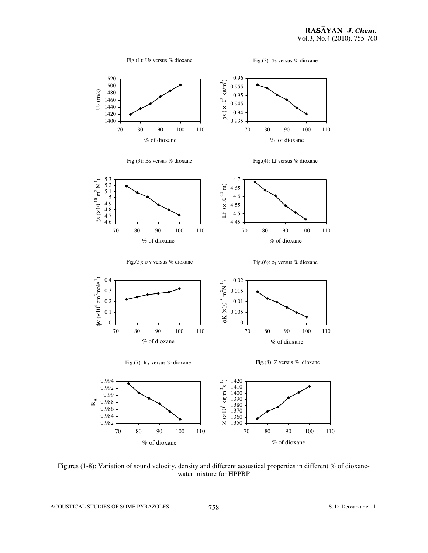

Figures (1-8): Variation of sound velocity, density and different acoustical properties in different % of dioxanewater mixture for HPPBP

ACOUSTICAL STUDIES OF SOME PYRAZOLES 758 S.D. Deosarkar et al.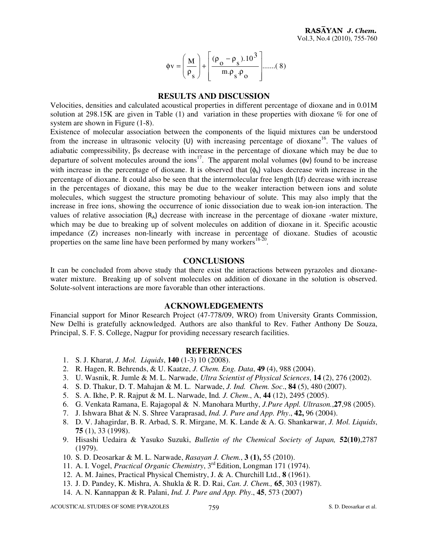$$
\phi \mathbf{v} = \left(\frac{\mathbf{M}}{\rho_{\mathbf{S}}}\right) + \left[\frac{(\rho_{\mathbf{O}} - \rho_{\mathbf{S}}).10^3}{m.\rho_{\mathbf{S}}.\rho_{\mathbf{O}}}\right] \dots \dots (8)
$$

#### **RESULTS AND DISCUSSION**

Velocities, densities and calculated acoustical properties in different percentage of dioxane and in 0.01M solution at 298.15K are given in Table (1) and variation in these properties with dioxane % for one of system are shown in Figure (1-8).

Existence of molecular association between the components of the liquid mixtures can be understood from the increase in ultrasonic velocity  $(U)$  with increasing percentage of dioxane<sup>16</sup>. The values of adiabatic compressibility, βs decrease with increase in the percentage of dioxane which may be due to departure of solvent molecules around the ions<sup>17</sup>. The apparent molal volumes ( $\phi$ v) found to be increase with increase in the percentage of dioxane. It is observed that  $(\phi_k)$  values decrease with increase in the percentage of dioxane. It could also be seen that the intermolecular free length (Lf) decrease with increase in the percentages of dioxane, this may be due to the weaker interaction between ions and solute molecules, which suggest the structure promoting behaviour of solute. This may also imply that the increase in free ions, showing the occurrence of ionic dissociation due to weak ion-ion interaction. The values of relative association  $(R_A)$  decrease with increase in the percentage of dioxane -water mixture, which may be due to breaking up of solvent molecules on addition of dioxane in it. Specific acoustic impedance (Z) increases non-linearly with increase in percentage of dioxane. Studies of acoustic properties on the same line have been performed by many workers $18-20$ .

#### **CONCLUSIONS**

It can be concluded from above study that there exist the interactions between pyrazoles and dioxanewater mixture. Breaking up of solvent molecules on addition of dioxane in the solution is observed. Solute-solvent interactions are more favorable than other interactions.

#### **ACKNOWLEDGEMENTS**

Financial support for Minor Research Project (47-778/09, WRO) from University Grants Commission, New Delhi is gratefully acknowledged. Authors are also thankful to Rev. Father Anthony De Souza, Principal, S. F. S. College, Nagpur for providing necessary research facilities.

#### **REFERENCES**

- 1. S. J. Kharat, *J. Mol. Liquids*, **140** (1-3) 10 (2008).
- 2. R. Hagen, R. Behrends, & U. Kaatze, *J. Chem. Eng. Data*, **49** (4), 988 (2004).
- 3. U. Wasnik, R. Jumle & M. L. Narwade, *Ultra Scientist of Physical Sciences*, **14** (2), 276 (2002).
- 4. S. D. Thakur, D. T. Mahajan & M. L. Narwade, *J. Ind. Chem. Soc*., **84** (5), 480 (2007).
- 5. S. A. Ikhe, P. R. Rajput & M. L. Narwade, Ind*. J. Chem*., A, **44** (12), 2495 (2005).
- 6. G. Venkata Ramana, E. Rajagopal & N. Manohara Murthy, *J.Pure Appl. Ultrason.*,**27**,98 (2005).
- 7. J. Ishwara Bhat & N. S. Shree Varaprasad, *Ind. J. Pure and App. Phy*., **42,** 96 (2004).
- 8. D. V. Jahagirdar, B. R. Arbad, S. R. Mirgane, M. K. Lande & A. G. Shankarwar, *J. Mol. Liquids*, **75** (1), 33 (1998).
- 9. Hisashi Uedaira & Yasuko Suzuki, *Bulletin of the Chemical Society of Japan,* **52(10)**,2787 (1979).
- 10. S. D. Deosarkar & M. L. Narwade, *Rasayan J. Chem.*, **3 (1),** 55 (2010).
- 11. A. I. Vogel, *Practical Organic Chemistry*, 3rd Edition, Longman 171 (1974).
- 12. A. M. Jaines, Practical Physical Chemistry, J. & A. Churchill Ltd., **8** (1961).
- 13. J. D. Pandey, K. Mishra, A. Shukla & R. D. Rai, *Can. J. Chem.,* **65**, 303 (1987).
- 14. A. N. Kannappan & R. Palani, *Ind. J. Pure and App. Phy*., **45**, 573 (2007)

ACOUSTICAL STUDIES OF SOME PYRAZOLES 759 S. D. Deosarkar et al.